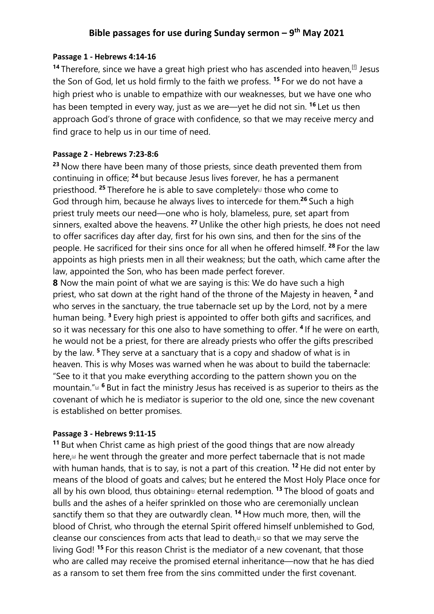# **Bible passages for use during Sunday sermon – 9th May 2021**

## **Passage 1 - Hebrews 4:14-16**

<sup>14</sup> Therefore, since we have a great high priest who has ascended into heaven, <sup>[f]</sup> Jesus the Son of God, let us hold firmly to the faith we profess. **<sup>15</sup>** For we do not have a high priest who is unable to empathize with our weaknesses, but we have one who has been tempted in every way, just as we are—yet he did not sin. **<sup>16</sup>** Let us then approach God's throne of grace with confidence, so that we may receive mercy and find grace to help us in our time of need.

## **Passage 2 - Hebrews 7:23-8:6**

**<sup>23</sup>** Now there have been many of those priests, since death prevented them from continuing in office; **<sup>24</sup>** but because Jesus lives forever, he has a permanent priesthood. <sup>25</sup> Therefore he is able to save completely<sup>d</sup> those who come to God through him, because he always lives to intercede for them.**<sup>26</sup>** Such a high priest truly meets our need—one who is holy, blameless, pure, set apart from sinners, exalted above the heavens. **<sup>27</sup>** Unlike the other high priests, he does not need to offer sacrifices day after day, first for his own sins, and then for the sins of the people. He sacrificed for their sins once for all when he offered himself. **<sup>28</sup>** For the law appoints as high priests men in all their weakness; but the oath, which came after the law, appointed the Son, who has been made perfect forever.

**8** Now the main point of what we are saying is this: We do have such a high priest, who sat down at the right hand of the throne of the Majesty in heaven, **<sup>2</sup>** and who serves in the sanctuary, the true tabernacle set up by the Lord, not by a mere human being. **<sup>3</sup>** Every high priest is appointed to offer both gifts and sacrifices, and so it was necessary for this one also to have something to offer. **<sup>4</sup>** If he were on earth, he would not be a priest, for there are already priests who offer the gifts prescribed by the law. **<sup>5</sup>** They serve at a sanctuary that is a copy and shadow of what is in heaven. This is why Moses was warned when he was about to build the tabernacle: "See to it that you make everything according to the pattern shown you on the mountain."[a] **<sup>6</sup>** But in fact the ministry Jesus has received is as superior to theirs as the covenant of which he is mediator is superior to the old one, since the new covenant is established on better promises.

## **Passage 3 - Hebrews 9:11-15**

**<sup>11</sup>** But when Christ came as high priest of the good things that are now already here,<sup>[a]</sup> he went through the greater and more perfect tabernacle that is not made with human hands, that is to say, is not a part of this creation. **<sup>12</sup>** He did not enter by means of the blood of goats and calves; but he entered the Most Holy Place once for all by his own blood, thus obtaining $\omega$  eternal redemption. <sup>13</sup> The blood of goats and bulls and the ashes of a heifer sprinkled on those who are ceremonially unclean sanctify them so that they are outwardly clean. **<sup>14</sup>** How much more, then, will the blood of Christ, who through the eternal Spirit offered himself unblemished to God, cleanse our consciences from acts that lead to death, $\omega$  so that we may serve the living God! **<sup>15</sup>** For this reason Christ is the mediator of a new covenant, that those who are called may receive the promised eternal inheritance—now that he has died as a ransom to set them free from the sins committed under the first covenant.